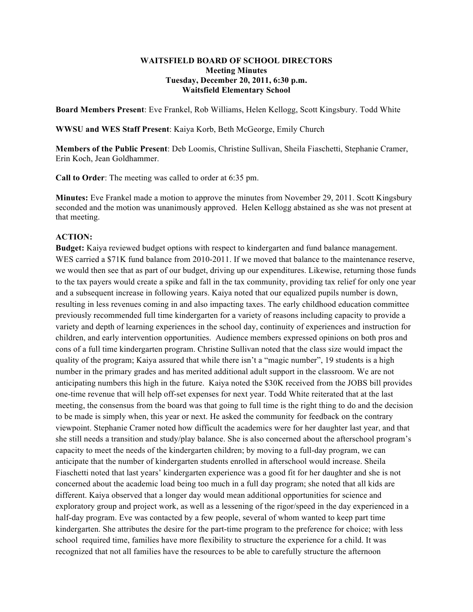### **WAITSFIELD BOARD OF SCHOOL DIRECTORS Meeting Minutes Tuesday, December 20, 2011, 6:30 p.m. Waitsfield Elementary School**

**Board Members Present**: Eve Frankel, Rob Williams, Helen Kellogg, Scott Kingsbury. Todd White

**WWSU and WES Staff Present**: Kaiya Korb, Beth McGeorge, Emily Church

**Members of the Public Present**: Deb Loomis, Christine Sullivan, Sheila Fiaschetti, Stephanie Cramer, Erin Koch, Jean Goldhammer.

**Call to Order**: The meeting was called to order at 6:35 pm.

**Minutes:** Eve Frankel made a motion to approve the minutes from November 29, 2011. Scott Kingsbury seconded and the motion was unanimously approved. Helen Kellogg abstained as she was not present at that meeting.

## **ACTION:**

**Budget:** Kaiya reviewed budget options with respect to kindergarten and fund balance management. WES carried a \$71K fund balance from 2010-2011. If we moved that balance to the maintenance reserve, we would then see that as part of our budget, driving up our expenditures. Likewise, returning those funds to the tax payers would create a spike and fall in the tax community, providing tax relief for only one year and a subsequent increase in following years. Kaiya noted that our equalized pupils number is down, resulting in less revenues coming in and also impacting taxes. The early childhood education committee previously recommended full time kindergarten for a variety of reasons including capacity to provide a variety and depth of learning experiences in the school day, continuity of experiences and instruction for children, and early intervention opportunities. Audience members expressed opinions on both pros and cons of a full time kindergarten program. Christine Sullivan noted that the class size would impact the quality of the program; Kaiya assured that while there isn't a "magic number", 19 students is a high number in the primary grades and has merited additional adult support in the classroom. We are not anticipating numbers this high in the future. Kaiya noted the \$30K received from the JOBS bill provides one-time revenue that will help off-set expenses for next year. Todd White reiterated that at the last meeting, the consensus from the board was that going to full time is the right thing to do and the decision to be made is simply when, this year or next. He asked the community for feedback on the contrary viewpoint. Stephanie Cramer noted how difficult the academics were for her daughter last year, and that she still needs a transition and study/play balance. She is also concerned about the afterschool program's capacity to meet the needs of the kindergarten children; by moving to a full-day program, we can anticipate that the number of kindergarten students enrolled in afterschool would increase. Sheila Fiaschetti noted that last years' kindergarten experience was a good fit for her daughter and she is not concerned about the academic load being too much in a full day program; she noted that all kids are different. Kaiya observed that a longer day would mean additional opportunities for science and exploratory group and project work, as well as a lessening of the rigor/speed in the day experienced in a half-day program. Eve was contacted by a few people, several of whom wanted to keep part time kindergarten. She attributes the desire for the part-time program to the preference for choice; with less school required time, families have more flexibility to structure the experience for a child. It was recognized that not all families have the resources to be able to carefully structure the afternoon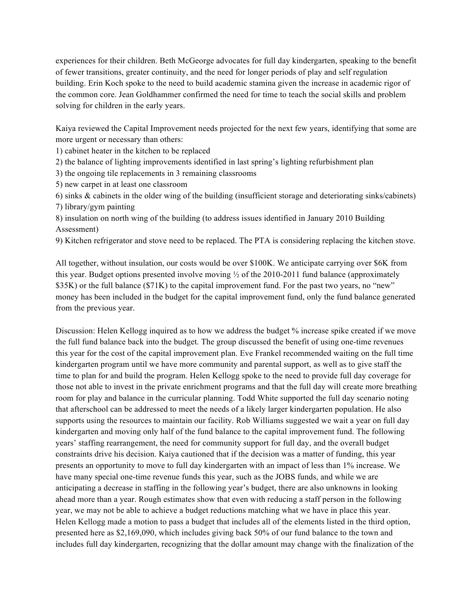experiences for their children. Beth McGeorge advocates for full day kindergarten, speaking to the benefit of fewer transitions, greater continuity, and the need for longer periods of play and self regulation building. Erin Koch spoke to the need to build academic stamina given the increase in academic rigor of the common core. Jean Goldhammer confirmed the need for time to teach the social skills and problem solving for children in the early years.

Kaiya reviewed the Capital Improvement needs projected for the next few years, identifying that some are more urgent or necessary than others:

1) cabinet heater in the kitchen to be replaced

2) the balance of lighting improvements identified in last spring's lighting refurbishment plan

3) the ongoing tile replacements in 3 remaining classrooms

5) new carpet in at least one classroom

6) sinks & cabinets in the older wing of the building (insufficient storage and deteriorating sinks/cabinets) 7) library/gym painting

8) insulation on north wing of the building (to address issues identified in January 2010 Building Assessment)

9) Kitchen refrigerator and stove need to be replaced. The PTA is considering replacing the kitchen stove.

All together, without insulation, our costs would be over \$100K. We anticipate carrying over \$6K from this year. Budget options presented involve moving  $\frac{1}{2}$  of the 2010-2011 fund balance (approximately \$35K) or the full balance (\$71K) to the capital improvement fund. For the past two years, no "new" money has been included in the budget for the capital improvement fund, only the fund balance generated from the previous year.

Discussion: Helen Kellogg inquired as to how we address the budget % increase spike created if we move the full fund balance back into the budget. The group discussed the benefit of using one-time revenues this year for the cost of the capital improvement plan. Eve Frankel recommended waiting on the full time kindergarten program until we have more community and parental support, as well as to give staff the time to plan for and build the program. Helen Kellogg spoke to the need to provide full day coverage for those not able to invest in the private enrichment programs and that the full day will create more breathing room for play and balance in the curricular planning. Todd White supported the full day scenario noting that afterschool can be addressed to meet the needs of a likely larger kindergarten population. He also supports using the resources to maintain our facility. Rob Williams suggested we wait a year on full day kindergarten and moving only half of the fund balance to the capital improvement fund. The following years' staffing rearrangement, the need for community support for full day, and the overall budget constraints drive his decision. Kaiya cautioned that if the decision was a matter of funding, this year presents an opportunity to move to full day kindergarten with an impact of less than 1% increase. We have many special one-time revenue funds this year, such as the JOBS funds, and while we are anticipating a decrease in staffing in the following year's budget, there are also unknowns in looking ahead more than a year. Rough estimates show that even with reducing a staff person in the following year, we may not be able to achieve a budget reductions matching what we have in place this year. Helen Kellogg made a motion to pass a budget that includes all of the elements listed in the third option, presented here as \$2,169,090, which includes giving back 50% of our fund balance to the town and includes full day kindergarten, recognizing that the dollar amount may change with the finalization of the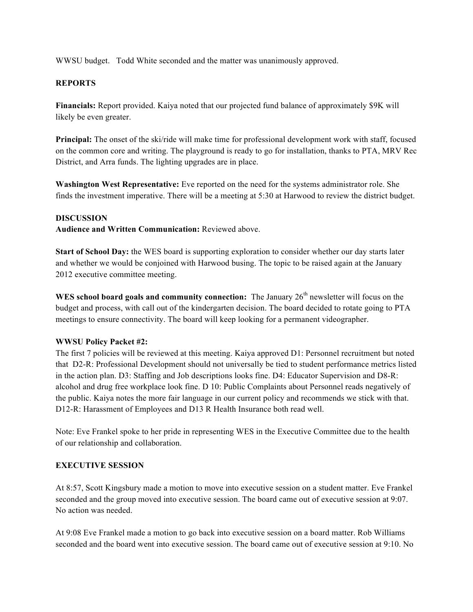WWSU budget. Todd White seconded and the matter was unanimously approved.

# **REPORTS**

**Financials:** Report provided. Kaiya noted that our projected fund balance of approximately \$9K will likely be even greater.

**Principal:** The onset of the ski/ride will make time for professional development work with staff, focused on the common core and writing. The playground is ready to go for installation, thanks to PTA, MRV Rec District, and Arra funds. The lighting upgrades are in place.

**Washington West Representative:** Eve reported on the need for the systems administrator role. She finds the investment imperative. There will be a meeting at 5:30 at Harwood to review the district budget.

### **DISCUSSION**

**Audience and Written Communication:** Reviewed above.

**Start of School Day:** the WES board is supporting exploration to consider whether our day starts later and whether we would be conjoined with Harwood busing. The topic to be raised again at the January 2012 executive committee meeting.

**WES school board goals and community connection:** The January  $26<sup>th</sup>$  newsletter will focus on the budget and process, with call out of the kindergarten decision. The board decided to rotate going to PTA meetings to ensure connectivity. The board will keep looking for a permanent videographer.

## **WWSU Policy Packet #2:**

The first 7 policies will be reviewed at this meeting. Kaiya approved D1: Personnel recruitment but noted that D2-R: Professional Development should not universally be tied to student performance metrics listed in the action plan. D3: Staffing and Job descriptions looks fine. D4: Educator Supervision and D8-R: alcohol and drug free workplace look fine. D 10: Public Complaints about Personnel reads negatively of the public. Kaiya notes the more fair language in our current policy and recommends we stick with that. D12-R: Harassment of Employees and D13 R Health Insurance both read well.

Note: Eve Frankel spoke to her pride in representing WES in the Executive Committee due to the health of our relationship and collaboration.

## **EXECUTIVE SESSION**

At 8:57, Scott Kingsbury made a motion to move into executive session on a student matter. Eve Frankel seconded and the group moved into executive session. The board came out of executive session at 9:07. No action was needed.

At 9:08 Eve Frankel made a motion to go back into executive session on a board matter. Rob Williams seconded and the board went into executive session. The board came out of executive session at 9:10. No